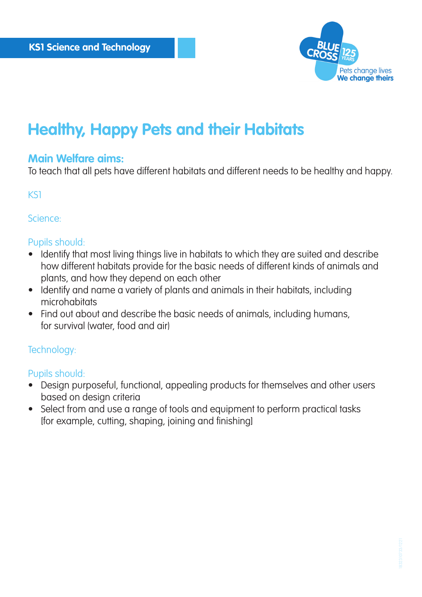

# **Healthy, Happy Pets and their Habitats**

## **Main Welfare aims:**

To teach that all pets have different habitats and different needs to be healthy and happy.

KS1

#### Science:

#### Pupils should:

- Identify that most living things live in habitats to which they are suited and describe how different habitats provide for the basic needs of different kinds of animals and plants, and how they depend on each other
- Identify and name a variety of plants and animals in their habitats, including microhabitats
- Find out about and describe the basic needs of animals, including humans, for survival (water, food and air)

## Technology:

#### Pupils should:

- Design purposeful, functional, appealing products for themselves and other users based on design criteria
- Select from and use a range of tools and equipment to perform practical tasks [for example, cutting, shaping, joining and finishing]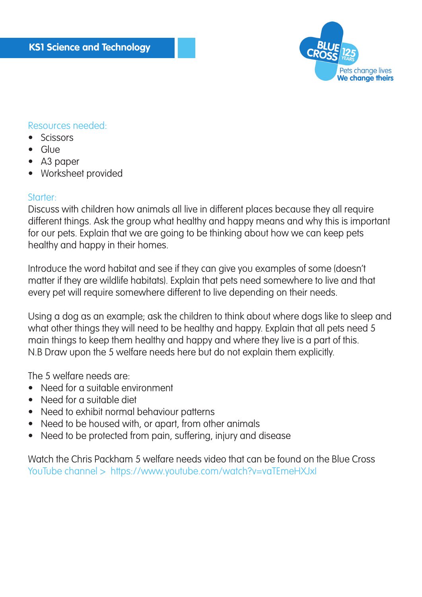

#### Resources needed:

- Scissors
- Glue
- A3 paper
- Worksheet provided

#### Starter:

Discuss with children how animals all live in different places because they all require different things. Ask the group what healthy and happy means and why this is important for our pets. Explain that we are going to be thinking about how we can keep pets healthy and happy in their homes.

Introduce the word habitat and see if they can give you examples of some (doesn't matter if they are wildlife habitats). Explain that pets need somewhere to live and that every pet will require somewhere different to live depending on their needs.

Using a dog as an example; ask the children to think about where dogs like to sleep and what other things they will need to be healthy and happy. Explain that all pets need 5 main things to keep them healthy and happy and where they live is a part of this. N.B Draw upon the 5 welfare needs here but do not explain them explicitly.

The 5 welfare needs are:

- Need for a suitable environment
- Need for a suitable diet
- Need to exhibit normal behaviour patterns
- Need to be housed with, or apart, from other animals
- Need to be protected from pain, suffering, injury and disease

Watch the Chris Packham 5 welfare needs video that can be found on the Blue Cross YouTube channel > https://www.youtube.com/watch?v=vaTEmeHXJxI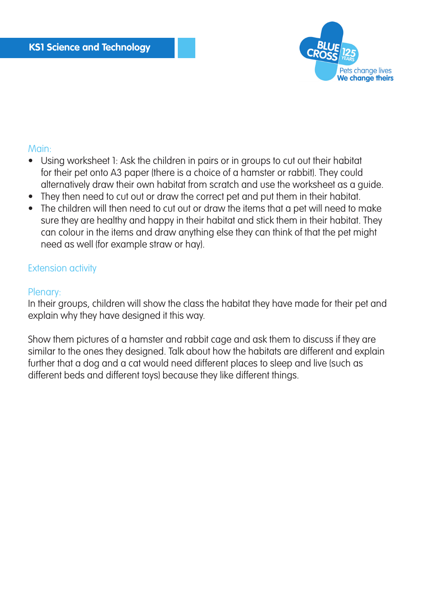

#### Main:

- Using worksheet 1: Ask the children in pairs or in groups to cut out their habitat for their pet onto A3 paper (there is a choice of a hamster or rabbit). They could alternatively draw their own habitat from scratch and use the worksheet as a guide.
- They then need to cut out or draw the correct pet and put them in their habitat.
- The children will then need to cut out or draw the items that a pet will need to make sure they are healthy and happy in their habitat and stick them in their habitat. They can colour in the items and draw anything else they can think of that the pet might need as well (for example straw or hay).

### Extension activity

#### Plenary:

In their groups, children will show the class the habitat they have made for their pet and explain why they have designed it this way.

Show them pictures of a hamster and rabbit cage and ask them to discuss if they are similar to the ones they designed. Talk about how the habitats are different and explain further that a dog and a cat would need different places to sleep and live (such as different beds and different toys) because they like different things.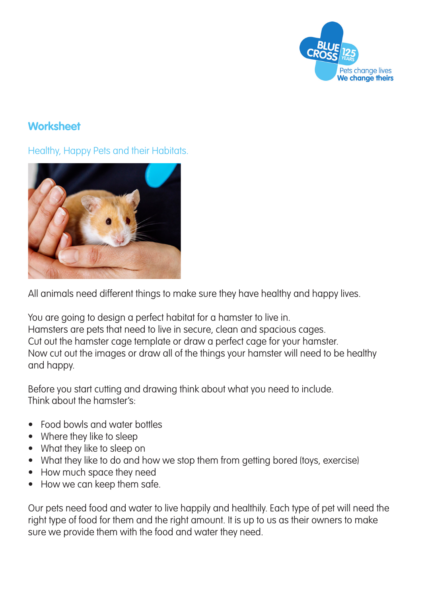

## **Worksheet**

Healthy, Happy Pets and their Habitats.



All animals need different things to make sure they have healthy and happy lives.

You are going to design a perfect habitat for a hamster to live in. Hamsters are pets that need to live in secure, clean and spacious cages. Cut out the hamster cage template or draw a perfect cage for your hamster. Now cut out the images or draw all of the things your hamster will need to be healthy and happy.

Before you start cutting and drawing think about what you need to include. Think about the hamster's:

- Food bowls and water bottles
- Where they like to sleep
- What they like to sleep on
- What they like to do and how we stop them from getting bored (toys, exercise)
- How much space they need
- How we can keep them safe.

Our pets need food and water to live happily and healthily. Each type of pet will need the right type of food for them and the right amount. It is up to us as their owners to make sure we provide them with the food and water they need.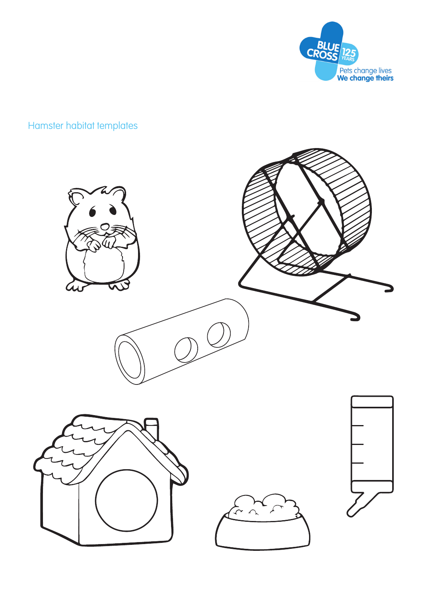

# Hamster habitat templates

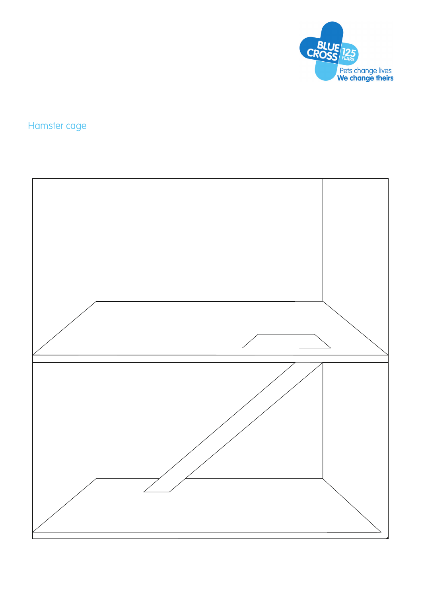

## Hamster cage

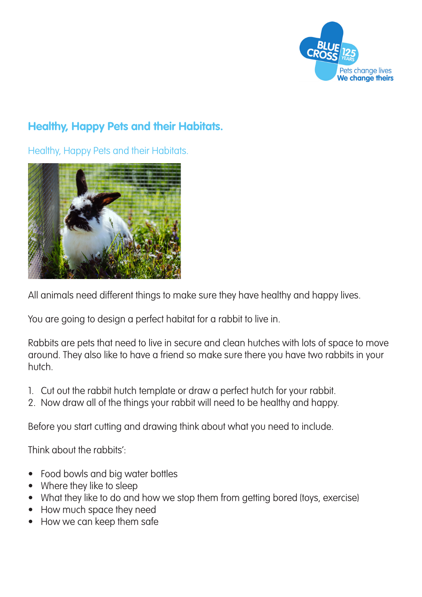

## **Healthy, Happy Pets and their Habitats.**

Healthy, Happy Pets and their Habitats.



All animals need different things to make sure they have healthy and happy lives.

You are going to design a perfect habitat for a rabbit to live in.

Rabbits are pets that need to live in secure and clean hutches with lots of space to move around. They also like to have a friend so make sure there you have two rabbits in your hutch.

- 1. Cut out the rabbit hutch template or draw a perfect hutch for your rabbit.
- 2. Now draw all of the things your rabbit will need to be healthy and happy.

Before you start cutting and drawing think about what you need to include.

Think about the rabbits':

- Food bowls and big water bottles
- Where they like to sleep
- What they like to do and how we stop them from getting bored (toys, exercise)
- How much space they need
- How we can keep them safe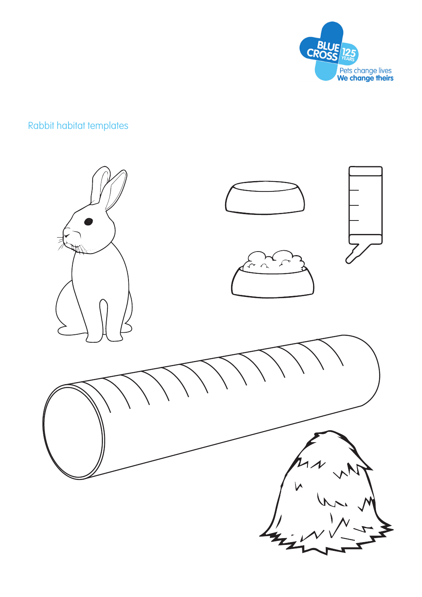

# Rabbit habitat templates